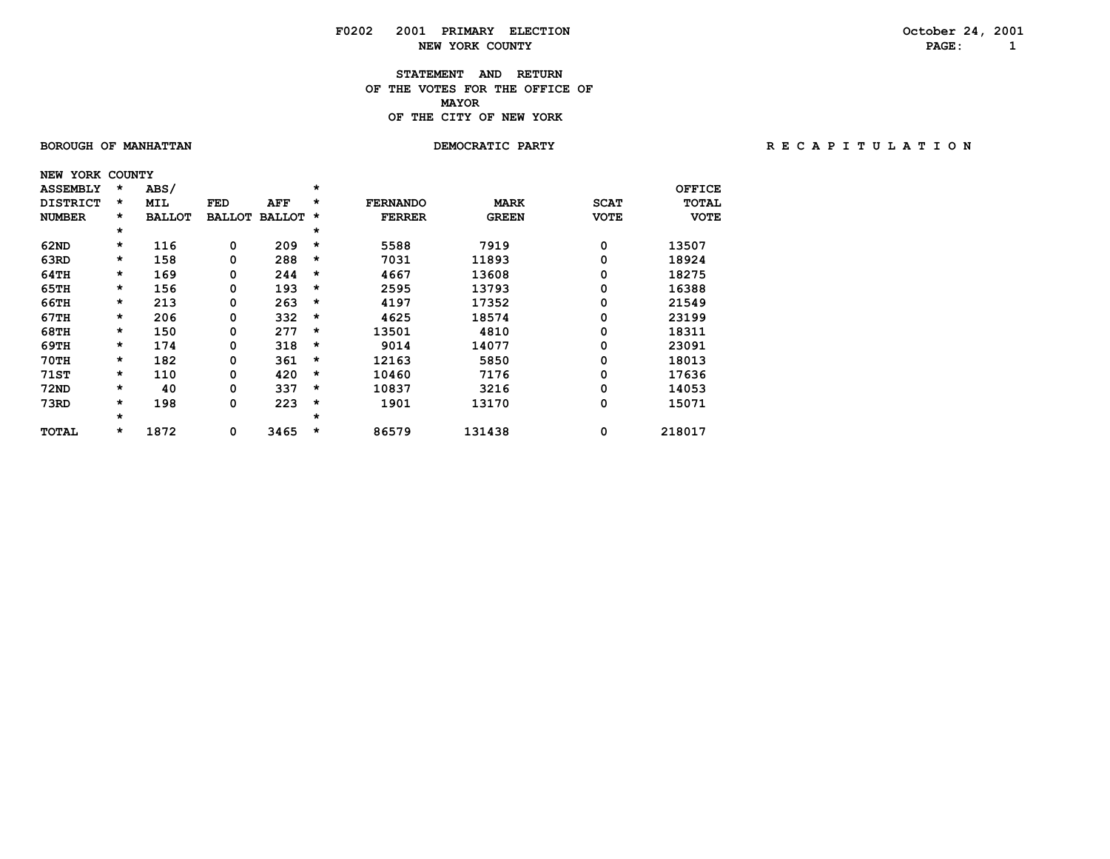## **F0202 2001 PRIMARY ELECTION October 24, 2001 NEW YORK COUNTY PAGE: 1**

### **STATEMENT AND RETURN OF THE VOTES FOR THE OFFICE OF MAYORMAYOR OF THE CITY OF NEW YORK**

### BOROUGH OF MANHATTAN **DEMOCRATIC PARTY REGAPITULATION**

| NEW | YORK            | <b>COUNTY</b> |               |               |               |         |                 |              |             |              |
|-----|-----------------|---------------|---------------|---------------|---------------|---------|-----------------|--------------|-------------|--------------|
|     | <b>ASSEMBLY</b> | $\star$       | ABS/          |               |               | $\star$ |                 |              |             | OFFICE       |
|     | <b>DISTRICT</b> | *             | MIL           | FED           | AFF           | $\star$ | <b>FERNANDO</b> | <b>MARK</b>  | <b>SCAT</b> | <b>TOTAL</b> |
|     | <b>NUMBER</b>   | *             | <b>BALLOT</b> | <b>BALLOT</b> | <b>BALLOT</b> | *       | <b>FERRER</b>   | <b>GREEN</b> | <b>VOTE</b> | <b>VOTE</b>  |
|     |                 | *             |               |               |               | *       |                 |              |             |              |
|     | 62ND            | *             | 116           | 0             | 209           | $\star$ | 5588            | 7919         | 0           | 13507        |
|     | 63RD            | *             | 158           | 0             | 288           | *       | 7031            | 11893        | 0           | 18924        |
|     | 64TH            | *             | 169           | 0             | 244           | $\star$ | 4667            | 13608        | 0           | 18275        |
|     | 65TH            | *             | 156           | 0             | 193           | *       | 2595            | 13793        | 0           | 16388        |
|     | 66TH            | *             | 213           | 0             | 263           | $\star$ | 4197            | 17352        | 0           | 21549        |
|     | 67TH            | *             | 206           | 0             | 332           | *       | 4625            | 18574        | 0           | 23199        |
|     | <b>68TH</b>     | *             | 150           | 0             | 277           | *       | 13501           | 4810         | 0           | 18311        |
|     | 69TH            | *             | 174           | 0             | 318           | $\star$ | 9014            | 14077        | 0           | 23091        |
|     | <b>70TH</b>     | *             | 182           | 0             | 361           | $\star$ | 12163           | 5850         | 0           | 18013        |
|     | <b>71ST</b>     | *             | 110           | 0             | 420           | $\star$ | 10460           | 7176         | 0           | 17636        |
|     | <b>72ND</b>     | *             | 40            | 0             | 337           | *       | 10837           | 3216         | 0           | 14053        |
|     | 73RD            | *             | 198           | 0             | 223           | *       | 1901            | 13170        | 0           | 15071        |
|     |                 | *             |               |               |               | $\star$ |                 |              |             |              |
|     | <b>TOTAL</b>    | *             | 1872          | 0             | 3465          | $\star$ | 86579           | 131438       | 0           | 218017       |
|     |                 |               |               |               |               |         |                 |              |             |              |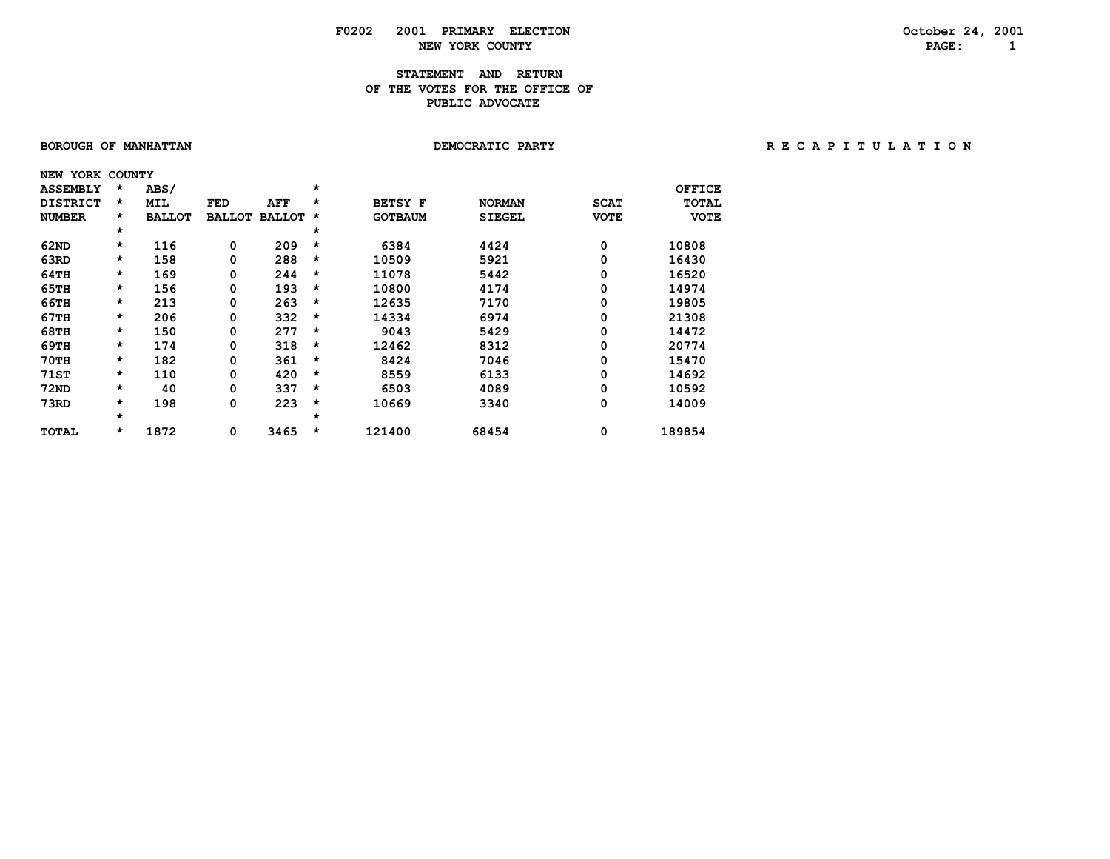# **F0202 2001 PRIMARY ELECTION October 24, 2001 NEW YORK COUNTY**

## **STATEMENT AND RETURN OF THE VOTES FOR THE OFFICE OF PUBLIC ADVOCATE**

| BOROUGH OF MANHATTAN |         |               |               |               |         | DEMOCRATIC PARTY |               | RECAPITULATION |               |  |  |  |  |  |
|----------------------|---------|---------------|---------------|---------------|---------|------------------|---------------|----------------|---------------|--|--|--|--|--|
| NEW YORK COUNTY      |         |               |               |               |         |                  |               |                |               |  |  |  |  |  |
| <b>ASSEMBLY</b>      | *       | ABS/          |               |               | $\star$ |                  |               |                | <b>OFFICE</b> |  |  |  |  |  |
| <b>DISTRICT</b>      | *       | MIL           | FED           | AFF           | *       | <b>BETSY F</b>   | <b>NORMAN</b> | <b>SCAT</b>    | <b>TOTAL</b>  |  |  |  |  |  |
| <b>NUMBER</b>        | *       | <b>BALLOT</b> | <b>BALLOT</b> | <b>BALLOT</b> | $\star$ | <b>GOTBAUM</b>   | <b>SIEGEL</b> | <b>VOTE</b>    | <b>VOTE</b>   |  |  |  |  |  |
|                      | $\star$ |               |               |               | *       |                  |               |                |               |  |  |  |  |  |
| 62ND                 | $\star$ | 116           | 0             | 209           | $\star$ | 6384             | 4424          | 0              | 10808         |  |  |  |  |  |
| 63RD                 | $\star$ | 158           | 0             | 288           | *       | 10509            | 5921          | 0              | 16430         |  |  |  |  |  |
| 64TH                 | $\star$ | 169           | 0             | 244           | *       | 11078            | 5442          | 0              | 16520         |  |  |  |  |  |
| 65TH                 | $\star$ | 156           | 0             | 193           | $\star$ | 10800            | 4174          | 0              | 14974         |  |  |  |  |  |
| 66TH                 | $\star$ | 213           | 0             | 263           | $\star$ | 12635            | 7170          | 0              | 19805         |  |  |  |  |  |
| 67TH                 | $\star$ | 206           | 0             | 332           | *       | 14334            | 6974          | 0              | 21308         |  |  |  |  |  |
| 68TH                 | $\star$ | 150           | 0             | 277           | *       | 9043             | 5429          | 0              | 14472         |  |  |  |  |  |
| 69TH                 | $\star$ | 174           | 0             | 318           | $\star$ | 12462            | 8312          | 0              | 20774         |  |  |  |  |  |
| $70$ TH              | $\star$ | 182           | 0             | 361           | *       | 8424             | 7046          | 0              | 15470         |  |  |  |  |  |
| 71ST                 | $\star$ | 110           | 0             | 420           | $\star$ | 8559             | 6133          | 0              | 14692         |  |  |  |  |  |
| 72ND                 | $\star$ | 40            | 0             | 337           | *       | 6503             | 4089          | 0              | 10592         |  |  |  |  |  |
| 73RD                 | $\star$ | 198           | 0             | 223           | *       | 10669            | 3340          | 0              | 14009         |  |  |  |  |  |
|                      | $\star$ |               |               |               | $\star$ |                  |               |                |               |  |  |  |  |  |
| TOTAL                | *       | 1872          | 0             | 3465          | $\star$ | 121400           | 68454         | 0              | 189854        |  |  |  |  |  |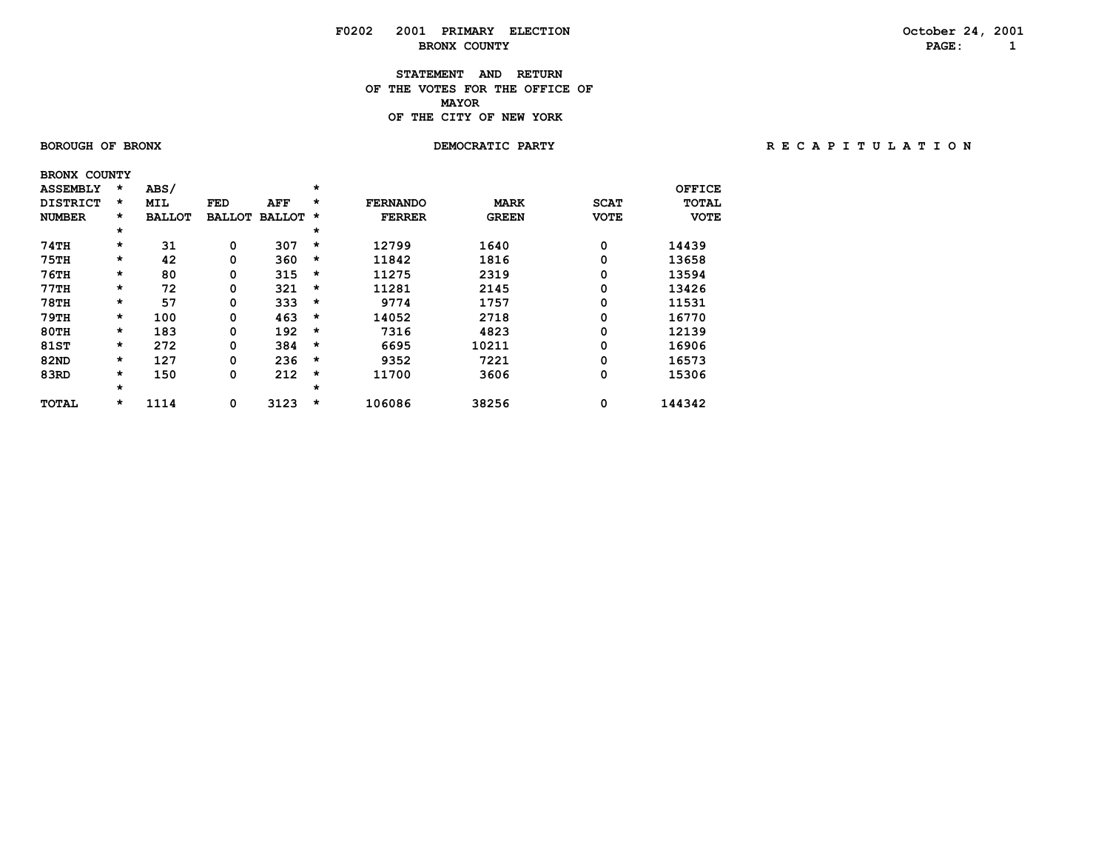## **F0202 2001 PRIMARY ELECTION October 24, 2001 BRONX COUNTY PAGE:** 1

### **STATEMENT AND RETURN OF THE VOTES FOR THE OFFICE OF MAYORMAYOR OF THE CITY OF NEW YORK**

 **BRONX COUNTY**

### **BOROUGH OF BRONX DEMOCRATIC PARTY R E C A P I T U L A T I O N**

| <b>ASSEMBLY</b> | $\star$ | ABS/          |               |               | $\star$ |                 |              |             | OFFICE       |
|-----------------|---------|---------------|---------------|---------------|---------|-----------------|--------------|-------------|--------------|
| <b>DISTRICT</b> | $\star$ | <b>MIL</b>    | <b>FED</b>    | AFF           | *       | <b>FERNANDO</b> | <b>MARK</b>  | <b>SCAT</b> | <b>TOTAL</b> |
| <b>NUMBER</b>   | $\star$ | <b>BALLOT</b> | <b>BALLOT</b> | <b>BALLOT</b> | *       | <b>FERRER</b>   | <b>GREEN</b> | <b>VOTE</b> | <b>VOTE</b>  |
|                 | $\star$ |               |               |               | $\star$ |                 |              |             |              |
| 74TH            | $\star$ | 31            | 0             | 307           | $\star$ | 12799           | 1640         | 0           | 14439        |
| <b>75TH</b>     | $\star$ | 42            | 0             | 360           | $\star$ | 11842           | 1816         | 0           | 13658        |
| <b>76TH</b>     | $\star$ | 80            | 0             | 315           | $\star$ | 11275           | 2319         | 0           | 13594        |
| 77TH            | $\star$ | 72            | 0             | 321           | $\star$ | 11281           | 2145         | 0           | 13426        |
| <b>78TH</b>     | $\star$ | 57            | 0             | 333           | $\star$ | 9774            | 1757         | 0           | 11531        |
| <b>79TH</b>     | $\star$ | 100           | 0             | 463           | $\star$ | 14052           | 2718         | 0           | 16770        |
| $80$ TH         | $\star$ | 183           | 0             | 192           | $\star$ | 7316            | 4823         | 0           | 12139        |
| 81ST            | $\star$ | 272           | 0             | 384           | $\star$ | 6695            | 10211        | 0           | 16906        |
| <b>82ND</b>     | $\star$ | 127           | 0             | 236           | $\star$ | 9352            | 7221         | 0           | 16573        |
| 83RD            | $\star$ | 150           | 0             | 212           | $\star$ | 11700           | 3606         | 0           | 15306        |
|                 | $\star$ |               |               |               | $\star$ |                 |              |             |              |
| <b>TOTAL</b>    | *       | 1114          | 0             | 3123          | $\star$ | 106086          | 38256        | 0           | 144342       |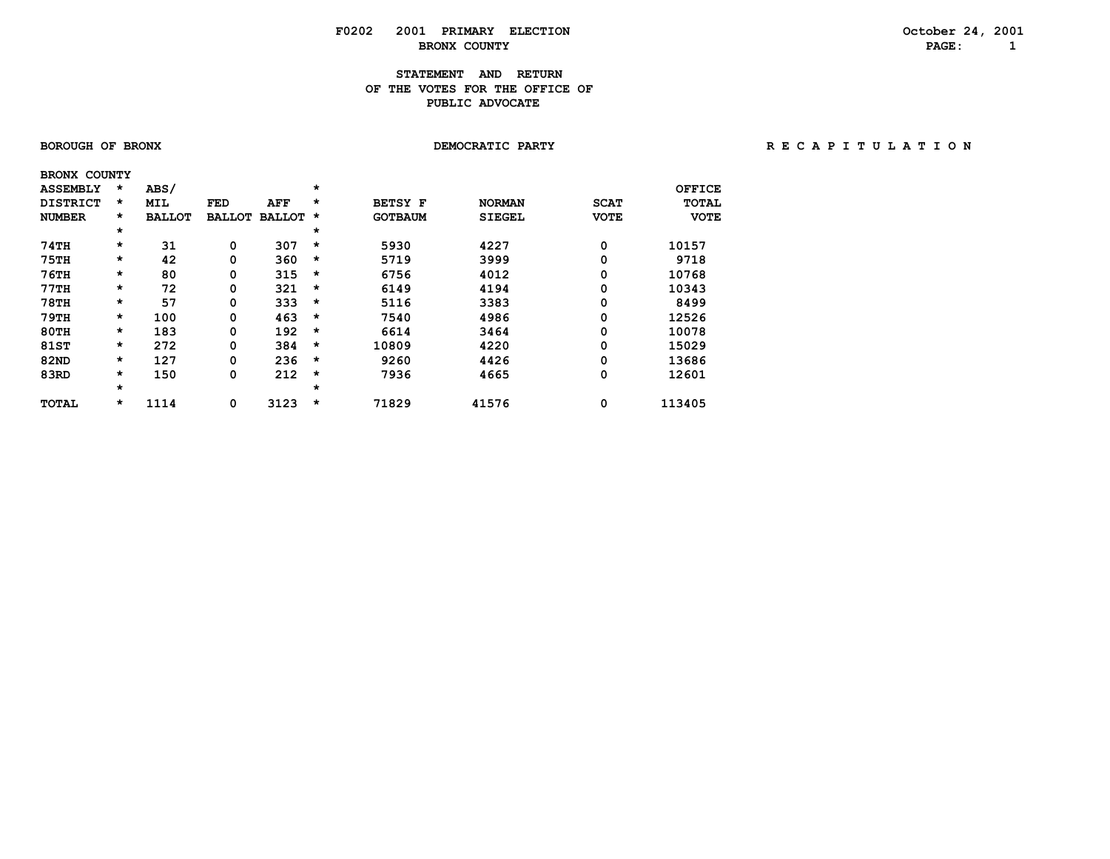## **F0202 2001 PRIMARY ELECTION October 24, 2001 BRONX COUNTY**

## **STATEMENT AND RETURN OF THE VOTES FOR THE OFFICE OFPUBLIC ADVOCATE**

| <b>BOROUGH OF BRONX</b> |  |  |
|-------------------------|--|--|
|                         |  |  |

### **BOROUGH OF BRONX DEMOCRATIC PARTY R E C A P I T U L A T I O N**

| <b>BRONX COUNTY</b> |         |               |               |               |          |                |               |             |              |
|---------------------|---------|---------------|---------------|---------------|----------|----------------|---------------|-------------|--------------|
| <b>ASSEMBLY</b>     | $\star$ | ABS/          |               |               | *        |                |               |             | OFFICE       |
| <b>DISTRICT</b>     | $\star$ | <b>MIL</b>    | <b>FED</b>    | AFF           | $\star$  | <b>BETSY F</b> | <b>NORMAN</b> | <b>SCAT</b> | <b>TOTAL</b> |
| <b>NUMBER</b>       | $\star$ | <b>BALLOT</b> | <b>BALLOT</b> | <b>BALLOT</b> | $\star$  | <b>GOTBAUM</b> | <b>SIEGEL</b> | <b>VOTE</b> | <b>VOTE</b>  |
|                     | $\star$ |               |               |               | $\star$  |                |               |             |              |
| 74TH                | $\star$ | 31            | 0             | 307           | $\star$  | 5930           | 4227          | 0           | 10157        |
| 75TH                | *       | 42            | 0             | 360           | $\star$  | 5719           | 3999          | 0           | 9718         |
| <b>76TH</b>         | $\star$ | 80            | 0             | 315           | $\star$  | 6756           | 4012          | 0           | 10768        |
| 77TH                | $\star$ | 72            | 0             | 321           | $\star$  | 6149           | 4194          | 0           | 10343        |
| <b>78TH</b>         | $\star$ | 57            | 0             | 333           | $\star$  | 5116           | 3383          | 0           | 8499         |
| <b>79TH</b>         | $\star$ | 100           | 0             | 463           | $\star$  | 7540           | 4986          | 0           | 12526        |
| 80TH                | $\star$ | 183           | 0             | 192           | $^\star$ | 6614           | 3464          | 0           | 10078        |
| 81ST                | $\star$ | 272           | 0             | 384           | $\star$  | 10809          | 4220          | 0           | 15029        |
| <b>82ND</b>         | $\star$ | 127           | 0             | 236           | $\star$  | 9260           | 4426          | 0           | 13686        |
| 83RD                | $\star$ | 150           | 0             | 212           | $\star$  | 7936           | 4665          | 0           | 12601        |
|                     | $\star$ |               |               |               | $\star$  |                |               |             |              |
| <b>TOTAL</b>        | *       | 1114          | 0             | 3123          | $\star$  | 71829          | 41576         | 0           | 113405       |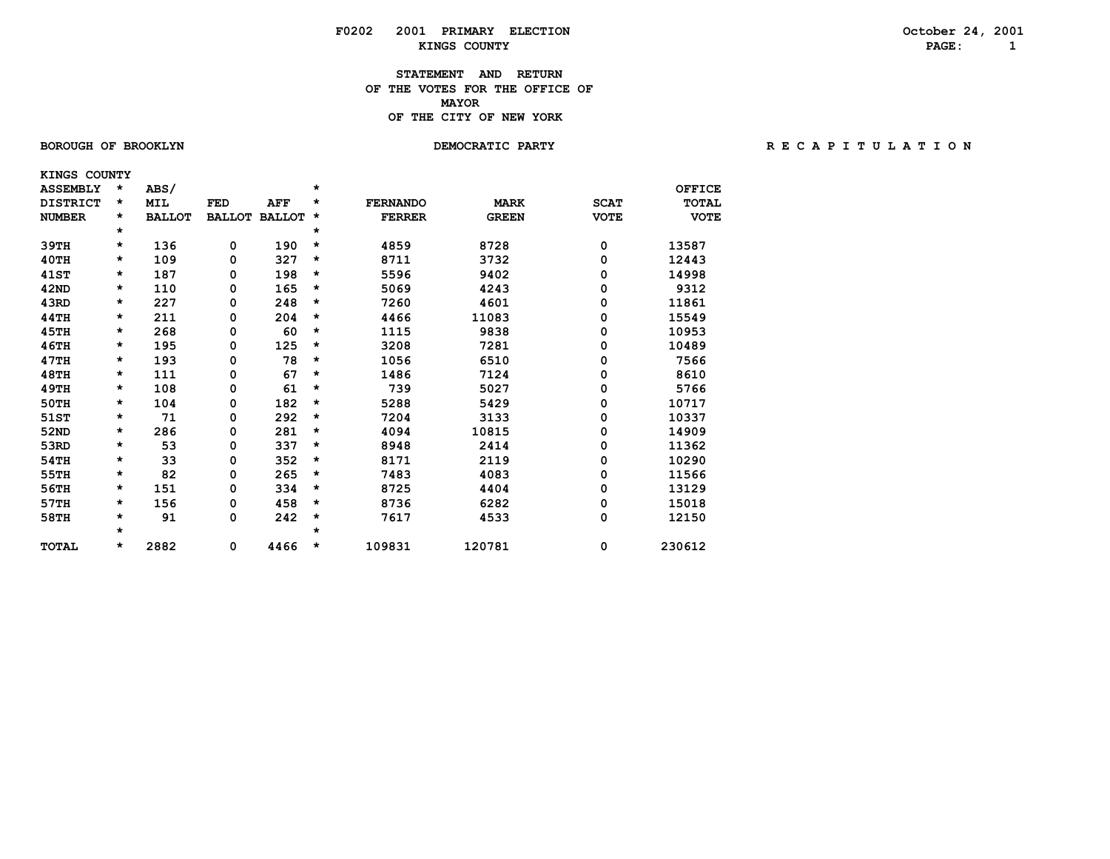## **F0202 2001 PRIMARY ELECTION October 24, 2001 KINGS COUNTY PAGE: 1**

### **STATEMENT AND RETURN OF THE VOTES FOR THE OFFICE OF MAYORMAYOR OF THE CITY OF NEW YORK**

 **KINGS COUNTY**

BOROUGH OF BROOKLYN **DEMOCRATIC PARTY REGAPITY** RECAPITULATION

| <b>ASSEMBLY</b> | * | ABS/          |               |               | $\star$ |                 |              |             | <b>OFFICE</b> |
|-----------------|---|---------------|---------------|---------------|---------|-----------------|--------------|-------------|---------------|
| <b>DISTRICT</b> | * | MIL           | <b>FED</b>    | <b>AFF</b>    | *       | <b>FERNANDO</b> | <b>MARK</b>  | <b>SCAT</b> | <b>TOTAL</b>  |
| <b>NUMBER</b>   | * | <b>BALLOT</b> | <b>BALLOT</b> | <b>BALLOT</b> | *       | <b>FERRER</b>   | <b>GREEN</b> | <b>VOTE</b> | <b>VOTE</b>   |
|                 | * |               |               |               | *       |                 |              |             |               |
| 39TH            | * | 136           | 0             | 190           | *       | 4859            | 8728         | 0           | 13587         |
| 40TH            | * | 109           | 0             | 327           | *       | 8711            | 3732         | 0           | 12443         |
| <b>41ST</b>     | * | 187           | 0             | 198           | $\star$ | 5596            | 9402         | 0           | 14998         |
| 42ND            | * | 110           | 0             | 165           | $\star$ | 5069            | 4243         | 0           | 9312          |
| 43RD            | * | 227           | 0             | 248           | $\star$ | 7260            | 4601         | 0           | 11861         |
| 44TH            | * | 211           | 0             | 204           | $\star$ | 4466            | 11083        | 0           | 15549         |
| 45TH            | * | 268           | 0             | 60            | $\star$ | 1115            | 9838         | 0           | 10953         |
| <b>46TH</b>     | * | 195           | 0             | 125           | *       | 3208            | 7281         | 0           | 10489         |
| 47TH            | * | 193           | 0             | 78            | $\star$ | 1056            | 6510         | 0           | 7566          |
| <b>48TH</b>     | * | 111           | 0             | 67            | $\star$ | 1486            | 7124         | 0           | 8610          |
| <b>49TH</b>     | * | 108           | 0             | 61            | *       | 739             | 5027         | 0           | 5766          |
| 50TH            | * | 104           | 0             | 182           | $\star$ | 5288            | 5429         | 0           | 10717         |
| 51ST            | * | 71            | 0             | 292           | $\star$ | 7204            | 3133         | 0           | 10337         |
| 52ND            | * | 286           | 0             | 281           | $\star$ | 4094            | 10815        | 0           | 14909         |
| 53RD            | * | 53            | 0             | 337           | $\star$ | 8948            | 2414         | 0           | 11362         |
| 54TH            | * | 33            | 0             | 352           | *       | 8171            | 2119         | 0           | 10290         |
| 55TH            | * | 82            | 0             | 265           | $\star$ | 7483            | 4083         | 0           | 11566         |
| 56TH            | * | 151           | 0             | 334           | $\star$ | 8725            | 4404         | 0           | 13129         |
| 57TH            | * | 156           | 0             | 458           | $\star$ | 8736            | 6282         | 0           | 15018         |
| 58TH            | * | 91            | 0             | 242           | *       | 7617            | 4533         | 0           | 12150         |
|                 | * |               |               |               | $\star$ |                 |              |             |               |
| <b>TOTAL</b>    | * | 2882          | 0             | 4466          | $\star$ | 109831          | 120781       | 0           | 230612        |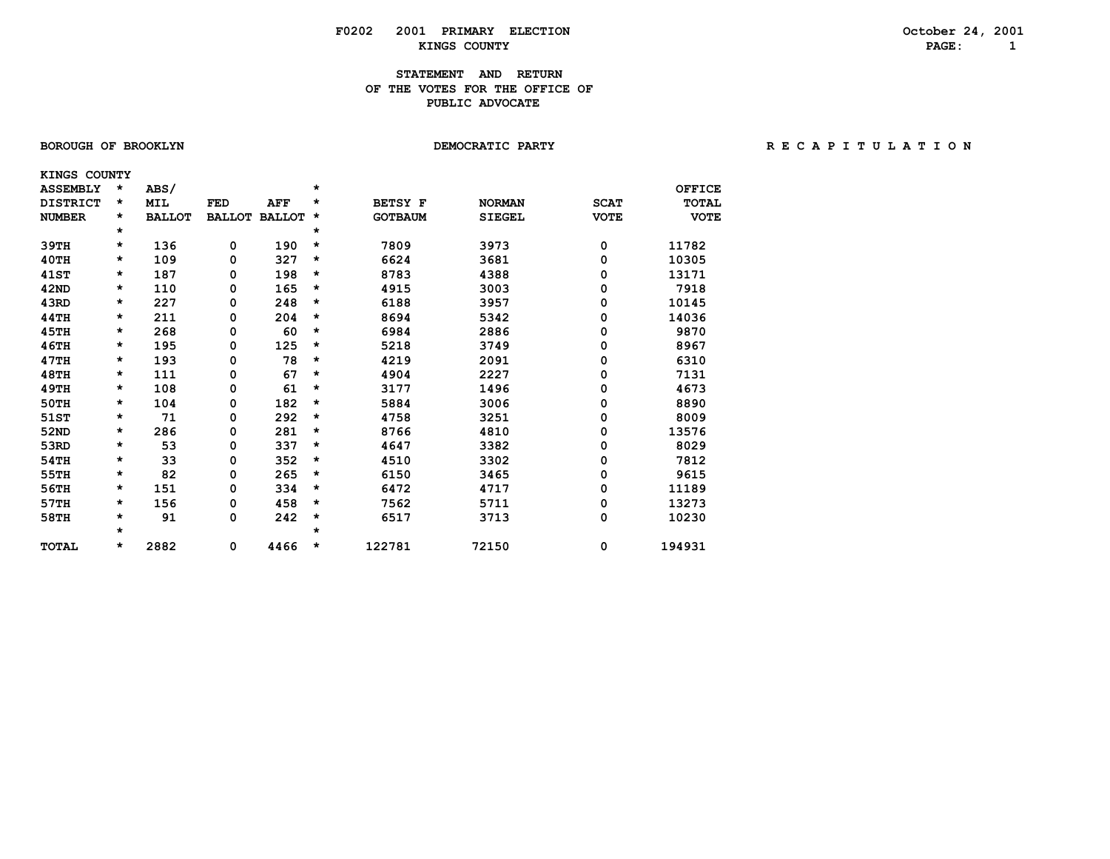## **F0202 2001 PRIMARY ELECTION October 24, 2001 KINGS COUNTY PAGE: 1**

## **STATEMENT AND RETURN OF THE VOTES FOR THE OFFICE OFPUBLIC ADVOCATE**

|  | <b>BOROUGH OF BROOKLYN</b> |
|--|----------------------------|
|--|----------------------------|

BOROUGH OF BROOKLYN **DEMOCRATIC PARTY REGAPITY** RECAPITULATION

| KINGS COUNTY    |         |               |               |               |   |                |               |             |               |
|-----------------|---------|---------------|---------------|---------------|---|----------------|---------------|-------------|---------------|
| <b>ASSEMBLY</b> | $\star$ | ABS/          |               |               | * |                |               |             | <b>OFFICE</b> |
| <b>DISTRICT</b> | $\star$ | <b>MIL</b>    | <b>FED</b>    | AFF           | * | <b>BETSY F</b> | <b>NORMAN</b> | <b>SCAT</b> | <b>TOTAL</b>  |
| <b>NUMBER</b>   | *       | <b>BALLOT</b> | <b>BALLOT</b> | <b>BALLOT</b> | * | <b>GOTBAUM</b> | <b>SIEGEL</b> | <b>VOTE</b> | <b>VOTE</b>   |
|                 | $\star$ |               |               |               | * |                |               |             |               |
| 39TH            | *       | 136           | 0             | 190           | * | 7809           | 3973          | 0           | 11782         |
| 40TH            | $\star$ | 109           | 0             | 327           | * | 6624           | 3681          | 0           | 10305         |
| <b>41ST</b>     | *       | 187           | 0             | 198           | * | 8783           | 4388          | 0           | 13171         |
| 42ND            | $\star$ | 110           | 0             | 165           | * | 4915           | 3003          | 0           | 7918          |
| 43RD            | *       | 227           | 0             | 248           | * | 6188           | 3957          | 0           | 10145         |
| 44TH            | *       | 211           | 0             | 204           | * | 8694           | 5342          | 0           | 14036         |
| 45TH            | $\star$ | 268           | 0             | 60            | * | 6984           | 2886          | 0           | 9870          |
| <b>46TH</b>     | *       | 195           | 0             | 125           | * | 5218           | 3749          | 0           | 8967          |
| 47TH            | *       | 193           | 0             | 78            | * | 4219           | 2091          | 0           | 6310          |
| <b>48TH</b>     | *       | 111           | 0             | 67            | * | 4904           | 2227          | 0           | 7131          |
| 49TH            | *       | 108           | 0             | 61            | * | 3177           | 1496          | 0           | 4673          |
| <b>50TH</b>     | *       | 104           | 0             | 182           | * | 5884           | 3006          | 0           | 8890          |
| 51ST            | $\star$ | 71            | 0             | 292           | * | 4758           | 3251          | 0           | 8009          |
| 52ND            | *       | 286           | 0             | 281           | * | 8766           | 4810          | 0           | 13576         |
| 53RD            | *       | 53            | 0             | 337           | * | 4647           | 3382          | 0           | 8029          |
| 54TH            | $\star$ | 33            | 0             | 352           | * | 4510           | 3302          | 0           | 7812          |
| 55TH            | *       | 82            | 0             | 265           | * | 6150           | 3465          | 0           | 9615          |
| 56TH            | $\star$ | 151           | 0             | 334           | * | 6472           | 4717          | 0           | 11189         |
| 57TH            | *       | 156           | 0             | 458           | * | 7562           | 5711          | 0           | 13273         |
| 58TH            | *       | 91            | 0             | 242           | * | 6517           | 3713          | 0           | 10230         |
|                 | $\star$ |               |               |               | * |                |               |             |               |
| <b>TOTAL</b>    | *       | 2882          | 0             | 4466          | * | 122781         | 72150         | 0           | 194931        |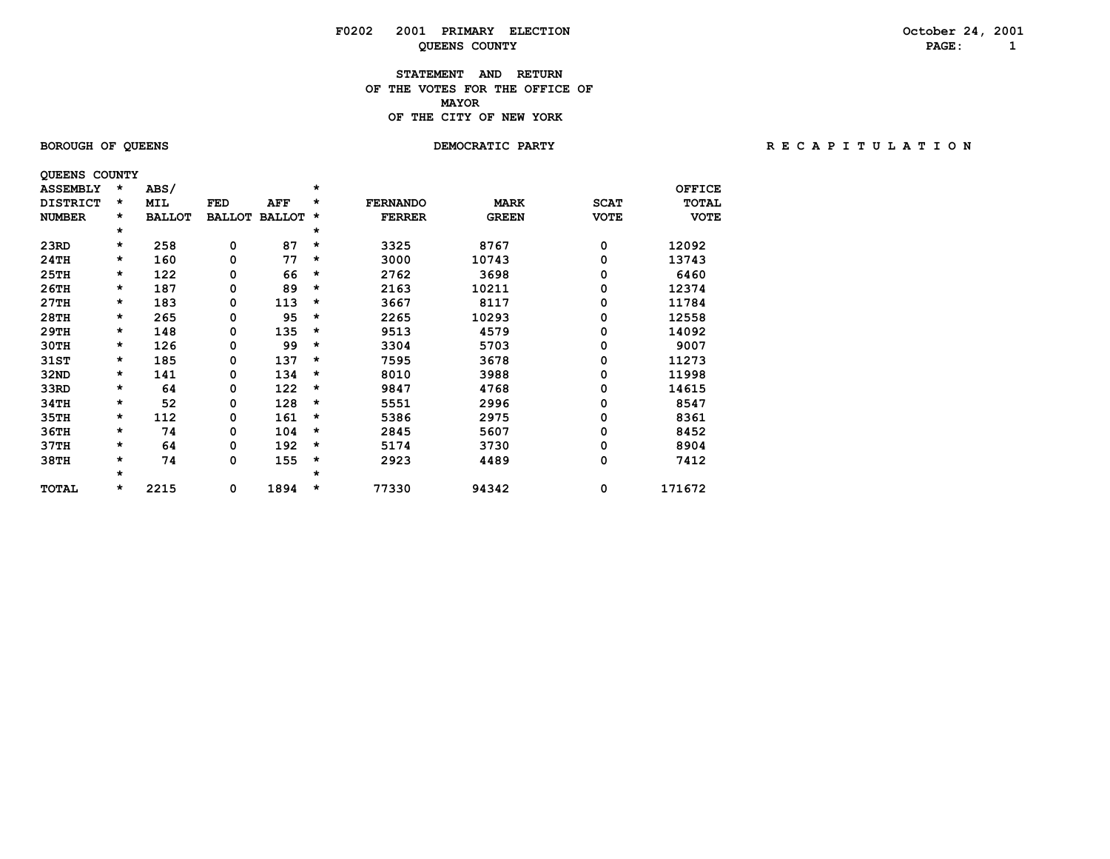# **F0202 2001 PRIMARY ELECTION October 24, 2001 QUEENS COUNTY PAGE:** 1

### **STATEMENT AND RETURN OF THE VOTES FOR THE OFFICE OF MAYORMAYOR OF THE CITY OF NEW YORK**

 **QUEENS COUNTY**

# BOROUGH OF QUEENS **BOROUGH OF QUEENS BEACH OF A T I O N** DEMOCRATIC PARTY **RECAPITULATION**

| <b>ASSEMBLY</b> | *       | <b>ABS/</b>   |               |               | $\star$ |                 |              |             | <b>OFFICE</b> |
|-----------------|---------|---------------|---------------|---------------|---------|-----------------|--------------|-------------|---------------|
| <b>DISTRICT</b> | *       | MIL           | FED           | AFF           | *       | <b>FERNANDO</b> | <b>MARK</b>  | <b>SCAT</b> | <b>TOTAL</b>  |
| <b>NUMBER</b>   | $\star$ | <b>BALLOT</b> | <b>BALLOT</b> | <b>BALLOT</b> | $\star$ | <b>FERRER</b>   | <b>GREEN</b> | <b>VOTE</b> | <b>VOTE</b>   |
|                 | *       |               |               |               | $\star$ |                 |              |             |               |
| 23RD            | *       | 258           | 0             | 87            | *       | 3325            | 8767         | 0           | 12092         |
| 24TH            | $\star$ | 160           | 0             | 77            | $\star$ | 3000            | 10743        | 0           | 13743         |
| 25TH            | $\star$ | 122           | 0             | 66            | $\star$ | 2762            | 3698         | 0           | 6460          |
| 26TH            | *       | 187           | 0             | 89            | $\star$ | 2163            | 10211        | 0           | 12374         |
| 27TH            | $\star$ | 183           | 0             | 113           | $\star$ | 3667            | 8117         | 0           | 11784         |
| 28TH            | $\star$ | 265           | 0             | 95            | $\star$ | 2265            | 10293        | 0           | 12558         |
| 29TH            | *       | 148           | 0             | 135           | $\star$ | 9513            | 4579         | 0           | 14092         |
| 30TH            | $\star$ | 126           | 0             | 99            | *       | 3304            | 5703         | 0           | 9007          |
| 31ST            | *       | 185           | 0             | 137           | $\star$ | 7595            | 3678         | 0           | 11273         |
| 32ND            | *       | 141           | 0             | 134           | *       | 8010            | 3988         | 0           | 11998         |
| 33RD            | *       | 64            | 0             | 122           | $\star$ | 9847            | 4768         | 0           | 14615         |
| 34TH            | $\star$ | 52            | 0             | 128           | $\star$ | 5551            | 2996         | 0           | 8547          |
| 35TH            | $\star$ | 112           | 0             | 161           | $\star$ | 5386            | 2975         | 0           | 8361          |
| 36TH            | *       | 74            | 0             | 104           | $\star$ | 2845            | 5607         | 0           | 8452          |
| 37TH            | *       | 64            | 0             | 192           | $\star$ | 5174            | 3730         | 0           | 8904          |
| 38TH            | *       | 74            | 0             | 155           | $\star$ | 2923            | 4489         | 0           | 7412          |
|                 | $\star$ |               |               |               | $\star$ |                 |              |             |               |
| <b>TOTAL</b>    | *       | 2215          | 0             | 1894          | $\star$ | 77330           | 94342        | 0           | 171672        |
|                 |         |               |               |               |         |                 |              |             |               |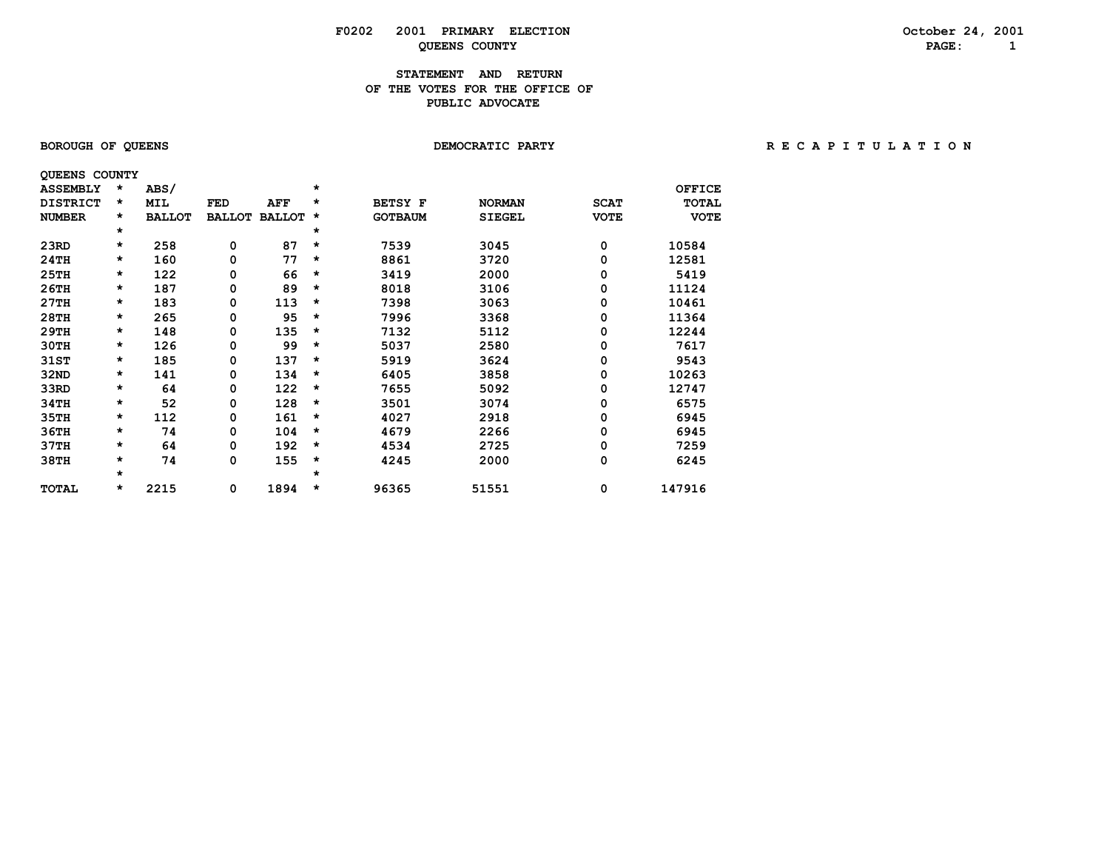# **F0202 2001 PRIMARY ELECTION October 24, 2001 QUEENS COUNTY PAGE: 1**

## **STATEMENT AND RETURN OF THE VOTES FOR THE OFFICE OFPUBLIC ADVOCATE**

| <b>BOROUGH OF QUEENS</b> |  |  |
|--------------------------|--|--|
|--------------------------|--|--|

**DEMOCRATIC PARTY CONTRACT CONTRACT CONTRACT CONTRACT CONTRACT CONTRACT CONTRACT CONTRACT CONTRACT CONTRACT CONTRACT CONTRACT CONTRACT CONTRACT CONTRACT CONTRACT CONTRACT CONTRACT CONTRACT CONTRACT CONTRACT CONTRACT CONTRA** 

| <b>QUEENS COUNTY</b> |         |               |               |               |         |                |               |             |               |
|----------------------|---------|---------------|---------------|---------------|---------|----------------|---------------|-------------|---------------|
| <b>ASSEMBLY</b>      | $\star$ | ABS/          |               |               | *       |                |               |             | <b>OFFICE</b> |
| <b>DISTRICT</b>      | $\star$ | <b>MIL</b>    | FED           | <b>AFF</b>    | *       | <b>BETSY F</b> | <b>NORMAN</b> | <b>SCAT</b> | <b>TOTAL</b>  |
| <b>NUMBER</b>        | *       | <b>BALLOT</b> | <b>BALLOT</b> | <b>BALLOT</b> | *       | <b>GOTBAUM</b> | <b>SIEGEL</b> | <b>VOTE</b> | <b>VOTE</b>   |
|                      | $\star$ |               |               |               | $\star$ |                |               |             |               |
| 23RD                 | $\star$ | 258           | 0             | 87            | *       | 7539           | 3045          | 0           | 10584         |
| 24TH                 | $\star$ | 160           | 0             | 77            | *       | 8861           | 3720          | 0           | 12581         |
| 25TH                 | $\star$ | 122           | 0             | 66            | *       | 3419           | 2000          | 0           | 5419          |
| 26TH                 | $\star$ | 187           | 0             | 89            | *       | 8018           | 3106          | 0           | 11124         |
| 27TH                 | $\star$ | 183           | 0             | 113           | *       | 7398           | 3063          | 0           | 10461         |
| 28TH                 | $\star$ | 265           | 0             | 95            | *       | 7996           | 3368          | 0           | 11364         |
| 29TH                 | $\star$ | 148           | 0             | 135           | *       | 7132           | 5112          | 0           | 12244         |
| 30TH                 | $\star$ | 126           | 0             | 99            | *       | 5037           | 2580          | 0           | 7617          |
| 31ST                 | $\star$ | 185           | 0             | 137           | $\star$ | 5919           | 3624          | 0           | 9543          |
| 32ND                 | $\star$ | 141           | 0             | 134           | *       | 6405           | 3858          | 0           | 10263         |
| 33RD                 | $\star$ | 64            | 0             | 122           | *       | 7655           | 5092          | 0           | 12747         |
| 34TH                 | $\star$ | 52            | 0             | 128           | *       | 3501           | 3074          | 0           | 6575          |
| 35TH                 | $\star$ | 112           | 0             | 161           | *       | 4027           | 2918          | 0           | 6945          |
| 36TH                 | $\star$ | 74            | 0             | 104           | *       | 4679           | 2266          | 0           | 6945          |
| 37TH                 | $\star$ | 64            | 0             | 192           | $\star$ | 4534           | 2725          | 0           | 7259          |
| 38TH                 | $\star$ | 74            | 0             | 155           | *       | 4245           | 2000          | 0           | 6245          |
|                      | $\star$ |               |               |               | *       |                |               |             |               |
| <b>TOTAL</b>         | *       | 2215          | 0             | 1894          | *       | 96365          | 51551         | 0           | 147916        |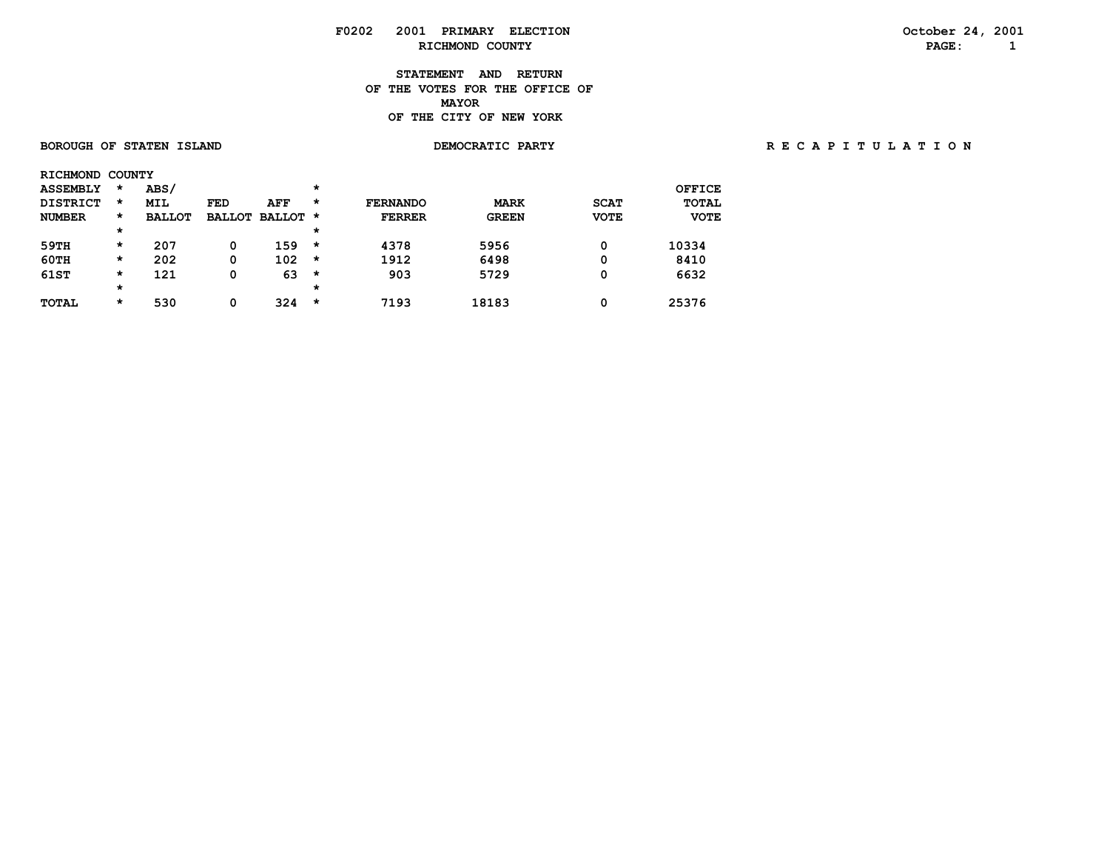## **F0202 2001 PRIMARY ELECTION October 24, 2001 RICHMOND COUNTY PAGE: 1**

**STATEMENT AND RETURN OF THE VOTES FOR THE OFFICE OF MAYORMAYOR OF THE CITY OF NEW YORK**

### BOROUGH OF STATEN ISLAND **DEMOCRATIC PARTY REGAPITY** RECAPITULATION

| <b>RICHMOND</b> | <b>COUNTY</b> |               |               |          |         |                 |              |             |              |
|-----------------|---------------|---------------|---------------|----------|---------|-----------------|--------------|-------------|--------------|
| <b>ASSEMBLY</b> | $\star$       | ABS/          |               |          | $\star$ |                 |              |             | OFFICE       |
| <b>DISTRICT</b> | $\star$       | <b>MIL</b>    | <b>FED</b>    | AFF      | $\star$ | <b>FERNANDO</b> | <b>MARK</b>  | <b>SCAT</b> | <b>TOTAL</b> |
| <b>NUMBER</b>   | *             | <b>BALLOT</b> | <b>BALLOT</b> | BALLOT * |         | <b>FERRER</b>   | <b>GREEN</b> | <b>VOTE</b> | <b>VOTE</b>  |
|                 | $\star$       |               |               |          | $\star$ |                 |              |             |              |
| 59TH            | $\star$       | 207           | 0             | 159      | $\star$ | 4378            | 5956         | 0           | 10334        |
| 60TH            | $\star$       | 202           | 0             | 102      | $\star$ | 1912            | 6498         | 0           | 8410         |
| 61ST            | *             | 121           | 0             | 63       | *       | 903             | 5729         | 0           | 6632         |
|                 | $\star$       |               |               |          | $\star$ |                 |              |             |              |
| <b>TOTAL</b>    | *             | 530           | 0             | 324      | *       | 7193            | 18183        | 0           | 25376        |